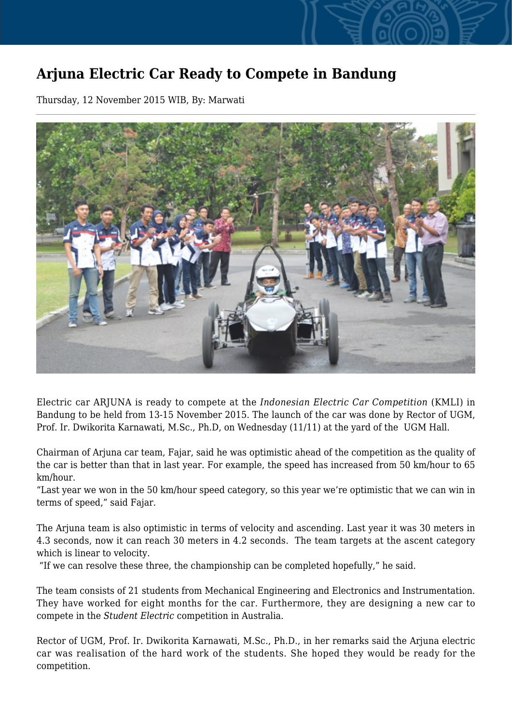## **Arjuna Electric Car Ready to Compete in Bandung**

Thursday, 12 November 2015 WIB, By: Marwati



Electric car ARJUNA is ready to compete at the *Indonesian Electric Car Competition* (KMLI) in Bandung to be held from 13-15 November 2015. The launch of the car was done by Rector of UGM, Prof. Ir. Dwikorita Karnawati, M.Sc., Ph.D, on Wednesday (11/11) at the yard of the UGM Hall.

Chairman of Arjuna car team, Fajar, said he was optimistic ahead of the competition as the quality of the car is better than that in last year. For example, the speed has increased from 50 km/hour to 65 km/hour.

"Last year we won in the 50 km/hour speed category, so this year we're optimistic that we can win in terms of speed," said Fajar.

The Arjuna team is also optimistic in terms of velocity and ascending. Last year it was 30 meters in 4.3 seconds, now it can reach 30 meters in 4.2 seconds. The team targets at the ascent category which is linear to velocity.

"If we can resolve these three, the championship can be completed hopefully," he said.

The team consists of 21 students from Mechanical Engineering and Electronics and Instrumentation. They have worked for eight months for the car. Furthermore, they are designing a new car to compete in the *Student Electric* competition in Australia.

Rector of UGM, Prof. Ir. Dwikorita Karnawati, M.Sc., Ph.D., in her remarks said the Arjuna electric car was realisation of the hard work of the students. She hoped they would be ready for the competition.